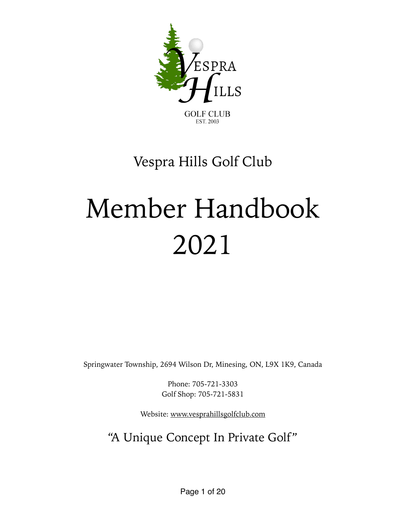

# Vespra Hills Golf Club

# Member Handbook 2021

Springwater Township, 2694 Wilson Dr, Minesing, ON, L9X 1K9, Canada

Phone: 705-721-3303 Golf Shop: 705-721-5831

Website: [www.vesprahillsgolfclub.com](http://www.vesprahillsgolfclub.com)

## "A Unique Concept In Private Golf"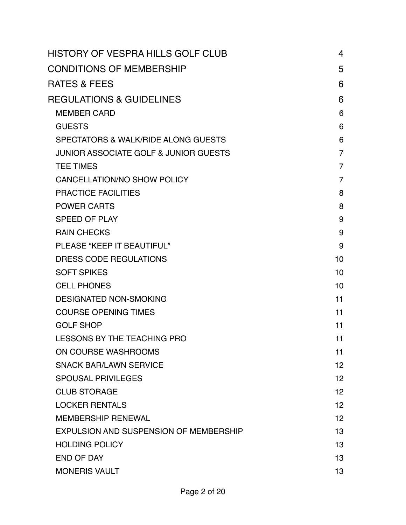| HISTORY OF VESPRA HILLS GOLF CLUB                | 4               |
|--------------------------------------------------|-----------------|
| <b>CONDITIONS OF MEMBERSHIP</b>                  | 5               |
| <b>RATES &amp; FEES</b>                          | 6               |
| <b>REGULATIONS &amp; GUIDELINES</b>              | 6               |
| <b>MEMBER CARD</b>                               | 6               |
| <b>GUESTS</b>                                    | 6               |
| SPECTATORS & WALK/RIDE ALONG GUESTS              | 6               |
| <b>JUNIOR ASSOCIATE GOLF &amp; JUNIOR GUESTS</b> | $\overline{7}$  |
| <b>TEE TIMES</b>                                 | $\overline{7}$  |
| CANCELLATION/NO SHOW POLICY                      | $\overline{7}$  |
| <b>PRACTICE FACILITIES</b>                       | 8               |
| <b>POWER CARTS</b>                               | 8               |
| <b>SPEED OF PLAY</b>                             | 9               |
| <b>RAIN CHECKS</b>                               | 9               |
| PLEASE "KEEP IT BEAUTIFUL"                       | 9               |
| DRESS CODE REGULATIONS                           | 10              |
| <b>SOFT SPIKES</b>                               | 10              |
| <b>CELL PHONES</b>                               | 10              |
| <b>DESIGNATED NON-SMOKING</b>                    | 11              |
| <b>COURSE OPENING TIMES</b>                      | 11              |
| <b>GOLF SHOP</b>                                 | 11              |
| <b>LESSONS BY THE TEACHING PRO</b>               | 11              |
| ON COURSE WASHROOMS                              | 11              |
| <b>SNACK BAR/LAWN SERVICE</b>                    | 12 <sup>2</sup> |
| <b>SPOUSAL PRIVILEGES</b>                        | 12 <sup>2</sup> |
| <b>CLUB STORAGE</b>                              | 12 <sup>°</sup> |
| <b>LOCKER RENTALS</b>                            | 12 <sup>2</sup> |
| <b>MEMBERSHIP RENEWAL</b>                        | 12 <sup>2</sup> |
| EXPULSION AND SUSPENSION OF MEMBERSHIP           | 13              |
| <b>HOLDING POLICY</b>                            | 13              |
| <b>END OF DAY</b>                                | 13              |
| <b>MONERIS VAULT</b>                             | 13              |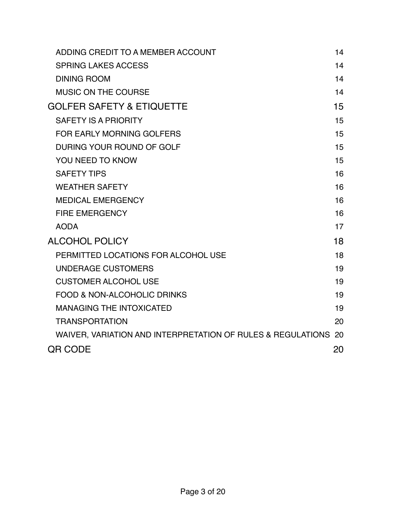| ADDING CREDIT TO A MEMBER ACCOUNT                              | 14 |
|----------------------------------------------------------------|----|
| <b>SPRING LAKES ACCESS</b>                                     | 14 |
| <b>DINING ROOM</b>                                             | 14 |
| <b>MUSIC ON THE COURSE</b>                                     | 14 |
| <b>GOLFER SAFETY &amp; ETIQUETTE</b>                           | 15 |
| <b>SAFETY IS A PRIORITY</b>                                    | 15 |
| FOR EARLY MORNING GOLFERS                                      | 15 |
| DURING YOUR ROUND OF GOLF                                      | 15 |
| YOU NEED TO KNOW                                               | 15 |
| <b>SAFETY TIPS</b>                                             | 16 |
| <b>WEATHER SAFETY</b>                                          | 16 |
| <b>MEDICAL EMERGENCY</b>                                       | 16 |
| <b>FIRE EMERGENCY</b>                                          | 16 |
| <b>AODA</b>                                                    | 17 |
| <b>ALCOHOL POLICY</b>                                          | 18 |
| PERMITTED LOCATIONS FOR ALCOHOL USE                            | 18 |
| <b>UNDERAGE CUSTOMERS</b>                                      | 19 |
| <b>CUSTOMER ALCOHOL USE</b>                                    | 19 |
| <b>FOOD &amp; NON-ALCOHOLIC DRINKS</b>                         | 19 |
| <b>MANAGING THE INTOXICATED</b>                                | 19 |
| <b>TRANSPORTATION</b>                                          | 20 |
| WAIVER, VARIATION AND INTERPRETATION OF RULES & REGULATIONS 20 |    |
| <b>QR CODE</b>                                                 | 20 |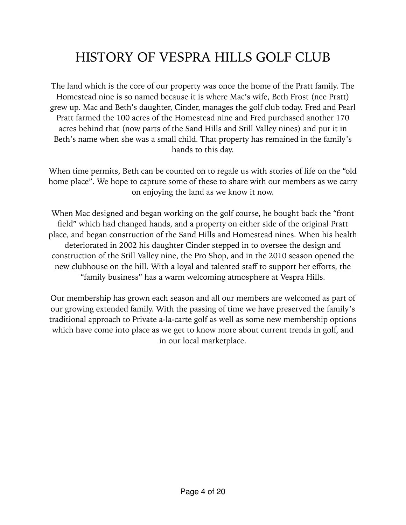# <span id="page-3-0"></span>HISTORY OF VESPRA HILLS GOLF CLUB

The land which is the core of our property was once the home of the Pratt family. The Homestead nine is so named because it is where Mac's wife, Beth Frost (nee Pratt) grew up. Mac and Beth's daughter, Cinder, manages the golf club today. Fred and Pearl Pratt farmed the 100 acres of the Homestead nine and Fred purchased another 170 acres behind that (now parts of the Sand Hills and Still Valley nines) and put it in Beth's name when she was a small child. That property has remained in the family's hands to this day.

When time permits, Beth can be counted on to regale us with stories of life on the "old home place". We hope to capture some of these to share with our members as we carry on enjoying the land as we know it now.

When Mac designed and began working on the golf course, he bought back the "front field" which had changed hands, and a property on either side of the original Pratt place, and began construction of the Sand Hills and Homestead nines. When his health deteriorated in 2002 his daughter Cinder stepped in to oversee the design and construction of the Still Valley nine, the Pro Shop, and in the 2010 season opened the new clubhouse on the hill. With a loyal and talented staff to support her efforts, the "family business" has a warm welcoming atmosphere at Vespra Hills.

Our membership has grown each season and all our members are welcomed as part of our growing extended family. With the passing of time we have preserved the family's traditional approach to Private a-la-carte golf as well as some new membership options which have come into place as we get to know more about current trends in golf, and in our local marketplace.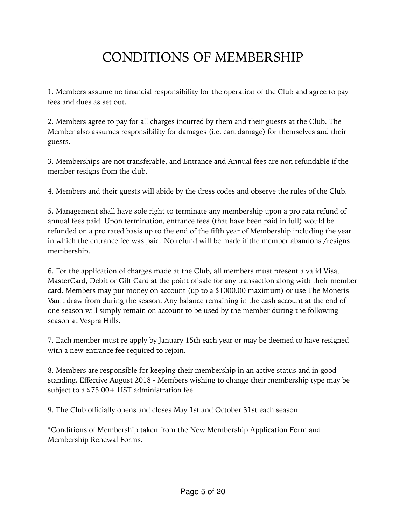# <span id="page-4-0"></span>CONDITIONS OF MEMBERSHIP

1. Members assume no financial responsibility for the operation of the Club and agree to pay fees and dues as set out.

2. Members agree to pay for all charges incurred by them and their guests at the Club. The Member also assumes responsibility for damages (i.e. cart damage) for themselves and their guests.

3. Memberships are not transferable, and Entrance and Annual fees are non refundable if the member resigns from the club.

4. Members and their guests will abide by the dress codes and observe the rules of the Club.

5. Management shall have sole right to terminate any membership upon a pro rata refund of annual fees paid. Upon termination, entrance fees (that have been paid in full) would be refunded on a pro rated basis up to the end of the fifth year of Membership including the year in which the entrance fee was paid. No refund will be made if the member abandons /resigns membership.

6. For the application of charges made at the Club, all members must present a valid Visa, MasterCard, Debit or Gift Card at the point of sale for any transaction along with their member card. Members may put money on account (up to a \$1000.00 maximum) or use The Moneris Vault draw from during the season. Any balance remaining in the cash account at the end of one season will simply remain on account to be used by the member during the following season at Vespra Hills.

7. Each member must re-apply by January 15th each year or may be deemed to have resigned with a new entrance fee required to rejoin.

8. Members are responsible for keeping their membership in an active status and in good standing. Effective August 2018 - Members wishing to change their membership type may be subject to a \$75.00+ HST administration fee.

9. The Club officially opens and closes May 1st and October 31st each season.

\*Conditions of Membership taken from the New Membership Application Form and Membership Renewal Forms.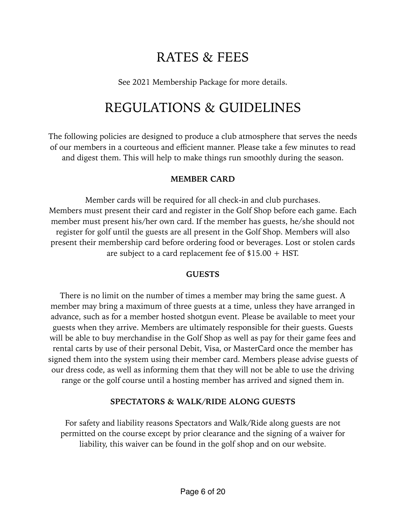## <span id="page-5-0"></span>RATES & FEES

See 2021 Membership Package for more details.

## <span id="page-5-1"></span>REGULATIONS & GUIDELINES

The following policies are designed to produce a club atmosphere that serves the needs of our members in a courteous and efficient manner. Please take a few minutes to read and digest them. This will help to make things run smoothly during the season.

#### <span id="page-5-2"></span>**MEMBER CARD**

Member cards will be required for all check-in and club purchases. Members must present their card and register in the Golf Shop before each game. Each member must present his/her own card. If the member has guests, he/she should not register for golf until the guests are all present in the Golf Shop. Members will also present their membership card before ordering food or beverages. Lost or stolen cards are subject to a card replacement fee of \$15.00 + HST.

#### <span id="page-5-3"></span>**GUESTS**

There is no limit on the number of times a member may bring the same guest. A member may bring a maximum of three guests at a time, unless they have arranged in advance, such as for a member hosted shotgun event. Please be available to meet your guests when they arrive. Members are ultimately responsible for their guests. Guests will be able to buy merchandise in the Golf Shop as well as pay for their game fees and rental carts by use of their personal Debit, Visa, or MasterCard once the member has signed them into the system using their member card. Members please advise guests of our dress code, as well as informing them that they will not be able to use the driving range or the golf course until a hosting member has arrived and signed them in.

#### <span id="page-5-4"></span>**SPECTATORS & WALK/RIDE ALONG GUESTS**

For safety and liability reasons Spectators and Walk/Ride along guests are not permitted on the course except by prior clearance and the signing of a waiver for liability, this waiver can be found in the golf shop and on our website.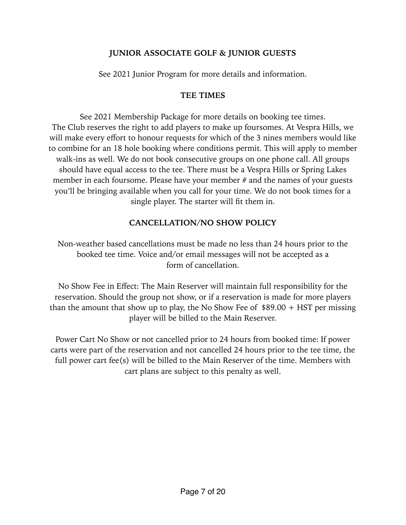#### <span id="page-6-0"></span>**JUNIOR ASSOCIATE GOLF & JUNIOR GUESTS**

See 2021 Junior Program for more details and information.

#### <span id="page-6-1"></span>**TEE TIMES**

See 2021 Membership Package for more details on booking tee times. The Club reserves the right to add players to make up foursomes. At Vespra Hills, we will make every effort to honour requests for which of the 3 nines members would like to combine for an 18 hole booking where conditions permit. This will apply to member walk-ins as well. We do not book consecutive groups on one phone call. All groups should have equal access to the tee. There must be a Vespra Hills or Spring Lakes member in each foursome. Please have your member # and the names of your guests you'll be bringing available when you call for your time. We do not book times for a single player. The starter will fit them in.

#### <span id="page-6-2"></span>**CANCELLATION/NO SHOW POLICY**

Non-weather based cancellations must be made no less than 24 hours prior to the booked tee time. Voice and/or email messages will not be accepted as a form of cancellation.

No Show Fee in Effect: The Main Reserver will maintain full responsibility for the reservation. Should the group not show, or if a reservation is made for more players than the amount that show up to play, the No Show Fee of  $$89.00 + HST$  per missing player will be billed to the Main Reserver.

Power Cart No Show or not cancelled prior to 24 hours from booked time: If power carts were part of the reservation and not cancelled 24 hours prior to the tee time, the full power cart fee(s) will be billed to the Main Reserver of the time. Members with cart plans are subject to this penalty as well.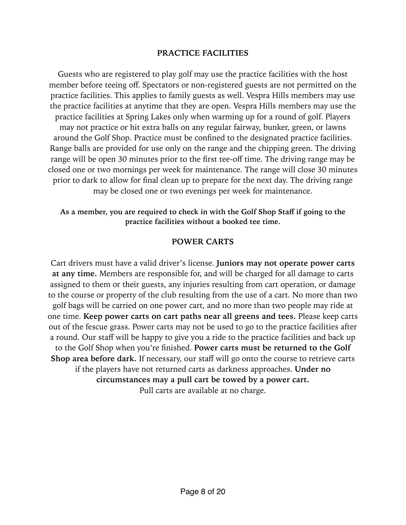#### <span id="page-7-0"></span>**PRACTICE FACILITIES**

Guests who are registered to play golf may use the practice facilities with the host member before teeing off. Spectators or non-registered guests are not permitted on the practice facilities. This applies to family guests as well. Vespra Hills members may use the practice facilities at anytime that they are open. Vespra Hills members may use the practice facilities at Spring Lakes only when warming up for a round of golf. Players may not practice or hit extra balls on any regular fairway, bunker, green, or lawns around the Golf Shop. Practice must be confined to the designated practice facilities. Range balls are provided for use only on the range and the chipping green. The driving range will be open 30 minutes prior to the first tee-off time. The driving range may be closed one or two mornings per week for maintenance. The range will close 30 minutes prior to dark to allow for final clean up to prepare for the next day. The driving range may be closed one or two evenings per week for maintenance.

**As a member, you are required to check in with the Golf Shop Staff if going to the practice facilities without a booked tee time.** 

#### <span id="page-7-1"></span>**POWER CARTS**

Cart drivers must have a valid driver's license. **Juniors may not operate power carts at any time.** Members are responsible for, and will be charged for all damage to carts assigned to them or their guests, any injuries resulting from cart operation, or damage to the course or property of the club resulting from the use of a cart. No more than two golf bags will be carried on one power cart, and no more than two people may ride at one time. **Keep power carts on cart paths near all greens and tees.** Please keep carts out of the fescue grass. Power carts may not be used to go to the practice facilities after a round. Our staff will be happy to give you a ride to the practice facilities and back up to the Golf Shop when you're finished. **Power carts must be returned to the Golf Shop area before dark.** If necessary, our staff will go onto the course to retrieve carts if the players have not returned carts as darkness approaches. **Under no circumstances may a pull cart be towed by a power cart.**  Pull carts are available at no charge.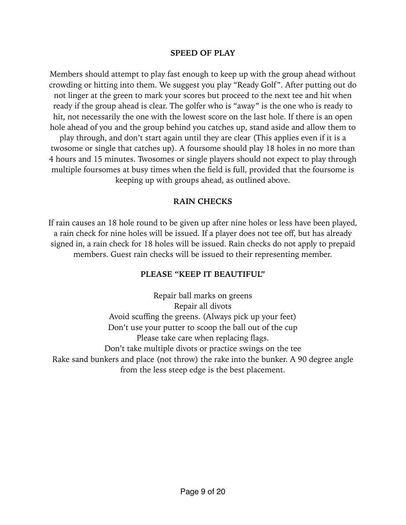#### <span id="page-8-0"></span>**SPEED OF PLAY**

Members should attempt to play fast enough to keep up with the group ahead without crowding or hitting into them. We suggest you play "Ready Golf". After putting out do not linger at the green to mark your scores but proceed to the next tee and hit when ready if the group ahead is clear. The golfer who is "away" is the one who is ready to hit, not necessarily the one with the lowest score on the last hole. If there is an open hole ahead of you and the group behind you catches up, stand aside and allow them to play through, and don't start again until they are clear (This applies even if it is a twosome or single that catches up). A foursome should play 18 holes in no more than 4 hours and 15 minutes. Twosomes or single players should not expect to play through multiple foursomes at busy times when the field is full, provided that the foursome is keeping up with groups ahead, as outlined above.

#### <span id="page-8-1"></span>**RAIN CHECKS**

If rain causes an 18 hole round to be given up after nine holes or less have been played, a rain check for nine holes will be issued. If a player does not tee off, but has already signed in, a rain check for 18 holes will be issued. Rain checks do not apply to prepaid members. Guest rain checks will be issued to their representing member.

#### <span id="page-8-2"></span>**PLEASE "KEEP IT BEAUTIFUL"**

Repair ball marks on greens Repair all divots Avoid scuffing the greens. (Always pick up your feet) Don't use your putter to scoop the ball out of the cup Please take care when replacing flags. Don't take multiple divots or practice swings on the tee Rake sand bunkers and place (not throw) the rake into the bunker. A 90 degree angle from the less steep edge is the best placement.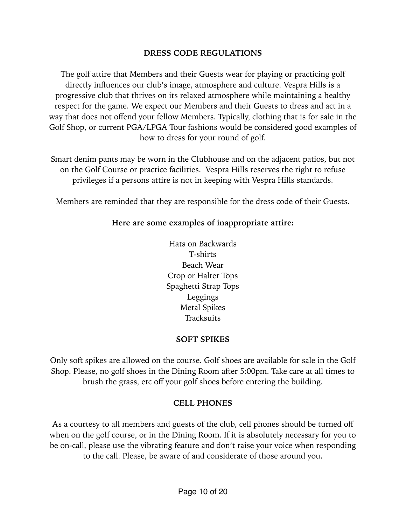#### <span id="page-9-0"></span>**DRESS CODE REGULATIONS**

The golf attire that Members and their Guests wear for playing or practicing golf directly influences our club's image, atmosphere and culture. Vespra Hills is a progressive club that thrives on its relaxed atmosphere while maintaining a healthy respect for the game. We expect our Members and their Guests to dress and act in a way that does not offend your fellow Members. Typically, clothing that is for sale in the Golf Shop, or current PGA/LPGA Tour fashions would be considered good examples of how to dress for your round of golf.

Smart denim pants may be worn in the Clubhouse and on the adjacent patios, but not on the Golf Course or practice facilities. Vespra Hills reserves the right to refuse privileges if a persons attire is not in keeping with Vespra Hills standards.

Members are reminded that they are responsible for the dress code of their Guests.

#### **Here are some examples of inappropriate attire:**

Hats on Backwards T-shirts Beach Wear Crop or Halter Tops Spaghetti Strap Tops Leggings Metal Spikes **Tracksuits** 

#### <span id="page-9-1"></span>**SOFT SPIKES**

Only soft spikes are allowed on the course. Golf shoes are available for sale in the Golf Shop. Please, no golf shoes in the Dining Room after 5:00pm. Take care at all times to brush the grass, etc off your golf shoes before entering the building.

#### <span id="page-9-2"></span>**CELL PHONES**

As a courtesy to all members and guests of the club, cell phones should be turned off when on the golf course, or in the Dining Room. If it is absolutely necessary for you to be on-call, please use the vibrating feature and don't raise your voice when responding to the call. Please, be aware of and considerate of those around you.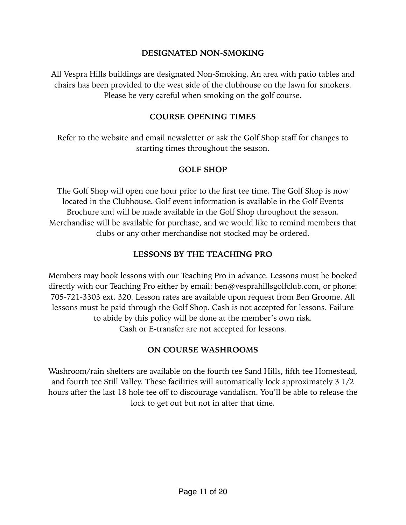#### <span id="page-10-0"></span>**DESIGNATED NON-SMOKING**

All Vespra Hills buildings are designated Non-Smoking. An area with patio tables and chairs has been provided to the west side of the clubhouse on the lawn for smokers. Please be very careful when smoking on the golf course.

#### <span id="page-10-1"></span>**COURSE OPENING TIMES**

Refer to the website and email newsletter or ask the Golf Shop staff for changes to starting times throughout the season.

#### <span id="page-10-2"></span>**GOLF SHOP**

The Golf Shop will open one hour prior to the first tee time. The Golf Shop is now located in the Clubhouse. Golf event information is available in the Golf Events Brochure and will be made available in the Golf Shop throughout the season. Merchandise will be available for purchase, and we would like to remind members that clubs or any other merchandise not stocked may be ordered.

#### <span id="page-10-3"></span>**LESSONS BY THE TEACHING PRO**

Members may book lessons with our Teaching Pro in advance. Lessons must be booked directly with our Teaching Pro either by email: [ben@vesprahillsgolfclub.com,](mailto:ben@vesprahillsgolfclub.com) or phone: 705-721-3303 ext. 320. Lesson rates are available upon request from Ben Groome. All lessons must be paid through the Golf Shop. Cash is not accepted for lessons. Failure to abide by this policy will be done at the member's own risk. Cash or E-transfer are not accepted for lessons.

#### <span id="page-10-4"></span>**ON COURSE WASHROOMS**

Washroom/rain shelters are available on the fourth tee Sand Hills, fifth tee Homestead, and fourth tee Still Valley. These facilities will automatically lock approximately 3 1/2 hours after the last 18 hole tee off to discourage vandalism. You'll be able to release the lock to get out but not in after that time.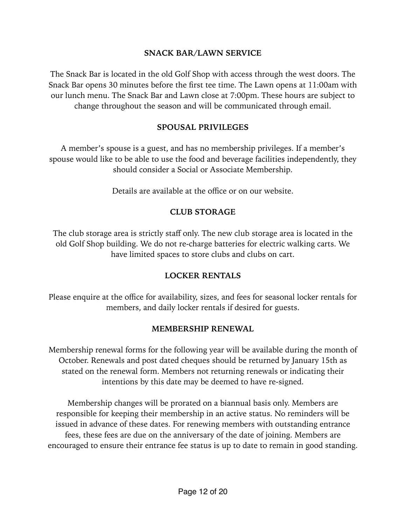#### <span id="page-11-0"></span>**SNACK BAR/LAWN SERVICE**

The Snack Bar is located in the old Golf Shop with access through the west doors. The Snack Bar opens 30 minutes before the first tee time. The Lawn opens at 11:00am with our lunch menu. The Snack Bar and Lawn close at 7:00pm. These hours are subject to change throughout the season and will be communicated through email.

#### <span id="page-11-1"></span>**SPOUSAL PRIVILEGES**

A member's spouse is a guest, and has no membership privileges. If a member's spouse would like to be able to use the food and beverage facilities independently, they should consider a Social or Associate Membership.

Details are available at the office or on our website.

#### <span id="page-11-2"></span>**CLUB STORAGE**

The club storage area is strictly staff only. The new club storage area is located in the old Golf Shop building. We do not re-charge batteries for electric walking carts. We have limited spaces to store clubs and clubs on cart.

#### <span id="page-11-3"></span>**LOCKER RENTALS**

Please enquire at the office for availability, sizes, and fees for seasonal locker rentals for members, and daily locker rentals if desired for guests.

#### <span id="page-11-4"></span>**MEMBERSHIP RENEWAL**

Membership renewal forms for the following year will be available during the month of October. Renewals and post dated cheques should be returned by January 15th as stated on the renewal form. Members not returning renewals or indicating their intentions by this date may be deemed to have re-signed.

Membership changes will be prorated on a biannual basis only. Members are responsible for keeping their membership in an active status. No reminders will be issued in advance of these dates. For renewing members with outstanding entrance fees, these fees are due on the anniversary of the date of joining. Members are encouraged to ensure their entrance fee status is up to date to remain in good standing.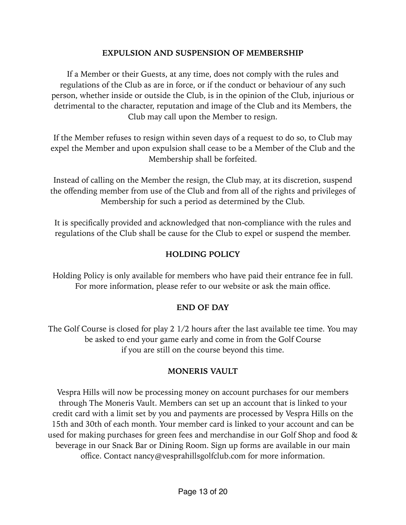#### <span id="page-12-0"></span>**EXPULSION AND SUSPENSION OF MEMBERSHIP**

If a Member or their Guests, at any time, does not comply with the rules and regulations of the Club as are in force, or if the conduct or behaviour of any such person, whether inside or outside the Club, is in the opinion of the Club, injurious or detrimental to the character, reputation and image of the Club and its Members, the Club may call upon the Member to resign.

If the Member refuses to resign within seven days of a request to do so, to Club may expel the Member and upon expulsion shall cease to be a Member of the Club and the Membership shall be forfeited.

Instead of calling on the Member the resign, the Club may, at its discretion, suspend the offending member from use of the Club and from all of the rights and privileges of Membership for such a period as determined by the Club.

It is specifically provided and acknowledged that non-compliance with the rules and regulations of the Club shall be cause for the Club to expel or suspend the member.

#### <span id="page-12-1"></span>**HOLDING POLICY**

Holding Policy is only available for members who have paid their entrance fee in full. For more information, please refer to our website or ask the main office.

#### <span id="page-12-2"></span>**END OF DAY**

The Golf Course is closed for play 2 1/2 hours after the last available tee time. You may be asked to end your game early and come in from the Golf Course if you are still on the course beyond this time.

#### <span id="page-12-3"></span>**MONERIS VAULT**

Vespra Hills will now be processing money on account purchases for our members through The Moneris Vault. Members can set up an account that is linked to your credit card with a limit set by you and payments are processed by Vespra Hills on the 15th and 30th of each month. Your member card is linked to your account and can be used for making purchases for green fees and merchandise in our Golf Shop and food & beverage in our Snack Bar or Dining Room. Sign up forms are available in our main office. Contact nancy@vesprahillsgolfclub.com for more information.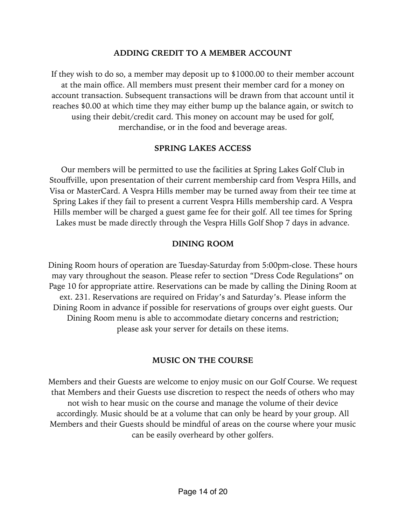#### <span id="page-13-0"></span>**ADDING CREDIT TO A MEMBER ACCOUNT**

If they wish to do so, a member may deposit up to \$1000.00 to their member account at the main office. All members must present their member card for a money on account transaction. Subsequent transactions will be drawn from that account until it reaches \$0.00 at which time they may either bump up the balance again, or switch to using their debit/credit card. This money on account may be used for golf, merchandise, or in the food and beverage areas.

#### <span id="page-13-1"></span>**SPRING LAKES ACCESS**

Our members will be permitted to use the facilities at Spring Lakes Golf Club in Stouffville, upon presentation of their current membership card from Vespra Hills, and Visa or MasterCard. A Vespra Hills member may be turned away from their tee time at Spring Lakes if they fail to present a current Vespra Hills membership card. A Vespra Hills member will be charged a guest game fee for their golf. All tee times for Spring Lakes must be made directly through the Vespra Hills Golf Shop 7 days in advance.

#### <span id="page-13-2"></span>**DINING ROOM**

Dining Room hours of operation are Tuesday-Saturday from 5:00pm-close. These hours may vary throughout the season. Please refer to section "Dress Code Regulations" on Page 10 for appropriate attire. Reservations can be made by calling the Dining Room at ext. 231. Reservations are required on Friday's and Saturday's. Please inform the Dining Room in advance if possible for reservations of groups over eight guests. Our Dining Room menu is able to accommodate dietary concerns and restriction; please ask your server for details on these items.

#### <span id="page-13-3"></span>**MUSIC ON THE COURSE**

Members and their Guests are welcome to enjoy music on our Golf Course. We request that Members and their Guests use discretion to respect the needs of others who may not wish to hear music on the course and manage the volume of their device accordingly. Music should be at a volume that can only be heard by your group. All Members and their Guests should be mindful of areas on the course where your music can be easily overheard by other golfers.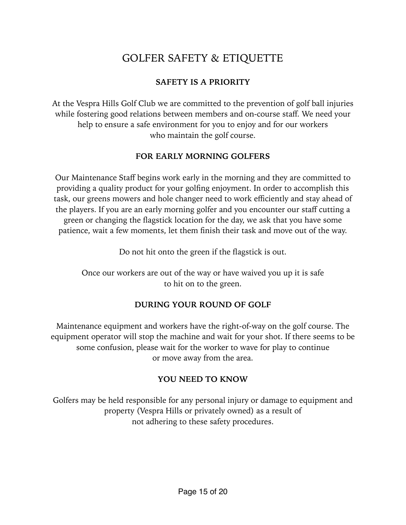### <span id="page-14-0"></span>GOLFER SAFETY & ETIQUETTE

#### <span id="page-14-1"></span>**SAFETY IS A PRIORITY**

At the Vespra Hills Golf Club we are committed to the prevention of golf ball injuries while fostering good relations between members and on-course staff. We need your help to ensure a safe environment for you to enjoy and for our workers who maintain the golf course.

#### <span id="page-14-2"></span>**FOR EARLY MORNING GOLFERS**

Our Maintenance Staff begins work early in the morning and they are committed to providing a quality product for your golfing enjoyment. In order to accomplish this task, our greens mowers and hole changer need to work efficiently and stay ahead of the players. If you are an early morning golfer and you encounter our staff cutting a green or changing the flagstick location for the day, we ask that you have some patience, wait a few moments, let them finish their task and move out of the way.

Do not hit onto the green if the flagstick is out.

Once our workers are out of the way or have waived you up it is safe to hit on to the green.

#### <span id="page-14-3"></span>**DURING YOUR ROUND OF GOLF**

Maintenance equipment and workers have the right-of-way on the golf course. The equipment operator will stop the machine and wait for your shot. If there seems to be some confusion, please wait for the worker to wave for play to continue or move away from the area.

#### <span id="page-14-4"></span>**YOU NEED TO KNOW**

Golfers may be held responsible for any personal injury or damage to equipment and property (Vespra Hills or privately owned) as a result of not adhering to these safety procedures.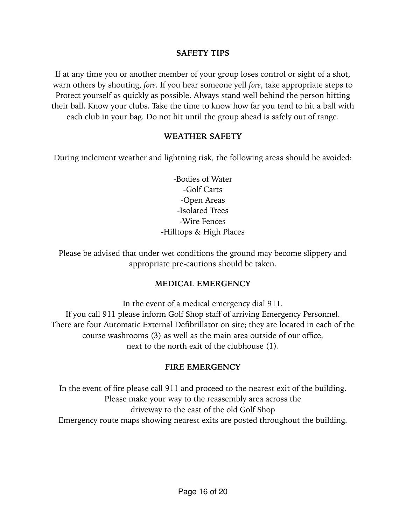#### <span id="page-15-0"></span>**SAFETY TIPS**

If at any time you or another member of your group loses control or sight of a shot, warn others by shouting, *fore*. If you hear someone yell *fore*, take appropriate steps to Protect yourself as quickly as possible. Always stand well behind the person hitting their ball. Know your clubs. Take the time to know how far you tend to hit a ball with each club in your bag. Do not hit until the group ahead is safely out of range.

#### <span id="page-15-1"></span>**WEATHER SAFETY**

During inclement weather and lightning risk, the following areas should be avoided:

-Bodies of Water -Golf Carts -Open Areas -Isolated Trees -Wire Fences -Hilltops & High Places

Please be advised that under wet conditions the ground may become slippery and appropriate pre-cautions should be taken.

#### <span id="page-15-2"></span>**MEDICAL EMERGENCY**

In the event of a medical emergency dial 911. If you call 911 please inform Golf Shop staff of arriving Emergency Personnel. There are four Automatic External Defibrillator on site; they are located in each of the course washrooms (3) as well as the main area outside of our office, next to the north exit of the clubhouse (1).

#### <span id="page-15-3"></span>**FIRE EMERGENCY**

In the event of fire please call 911 and proceed to the nearest exit of the building. Please make your way to the reassembly area across the driveway to the east of the old Golf Shop Emergency route maps showing nearest exits are posted throughout the building.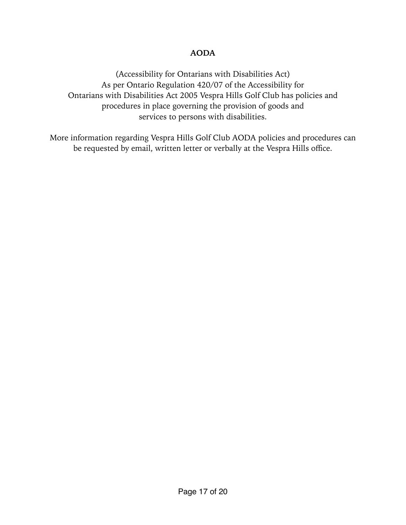#### <span id="page-16-0"></span>**AODA**

(Accessibility for Ontarians with Disabilities Act) As per Ontario Regulation 420/07 of the Accessibility for Ontarians with Disabilities Act 2005 Vespra Hills Golf Club has policies and procedures in place governing the provision of goods and services to persons with disabilities.

More information regarding Vespra Hills Golf Club AODA policies and procedures can be requested by email, written letter or verbally at the Vespra Hills office.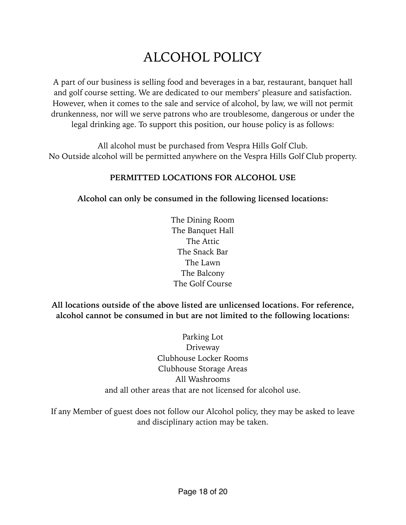# <span id="page-17-0"></span>ALCOHOL POLICY

A part of our business is selling food and beverages in a bar, restaurant, banquet hall and golf course setting. We are dedicated to our members' pleasure and satisfaction. However, when it comes to the sale and service of alcohol, by law, we will not permit drunkenness, nor will we serve patrons who are troublesome, dangerous or under the legal drinking age. To support this position, our house policy is as follows:

All alcohol must be purchased from Vespra Hills Golf Club. No Outside alcohol will be permitted anywhere on the Vespra Hills Golf Club property.

#### <span id="page-17-1"></span>**PERMITTED LOCATIONS FOR ALCOHOL USE**

**Alcohol can only be consumed in the following licensed locations:** 

The Dining Room The Banquet Hall The Attic The Snack Bar The Lawn The Balcony The Golf Course

**All locations outside of the above listed are unlicensed locations. For reference, alcohol cannot be consumed in but are not limited to the following locations:** 

> Parking Lot Driveway Clubhouse Locker Rooms Clubhouse Storage Areas All Washrooms and all other areas that are not licensed for alcohol use.

If any Member of guest does not follow our Alcohol policy, they may be asked to leave and disciplinary action may be taken.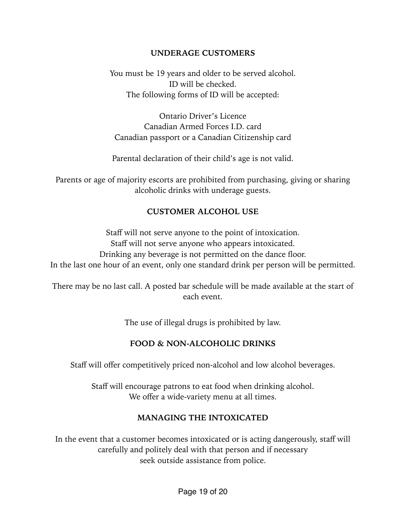#### <span id="page-18-0"></span>**UNDERAGE CUSTOMERS**

You must be 19 years and older to be served alcohol. ID will be checked. The following forms of ID will be accepted:

Ontario Driver's Licence Canadian Armed Forces I.D. card Canadian passport or a Canadian Citizenship card

Parental declaration of their child's age is not valid.

Parents or age of majority escorts are prohibited from purchasing, giving or sharing alcoholic drinks with underage guests.

#### <span id="page-18-1"></span>**CUSTOMER ALCOHOL USE**

Staff will not serve anyone to the point of intoxication. Staff will not serve anyone who appears intoxicated. Drinking any beverage is not permitted on the dance floor. In the last one hour of an event, only one standard drink per person will be permitted.

There may be no last call. A posted bar schedule will be made available at the start of each event.

The use of illegal drugs is prohibited by law.

#### <span id="page-18-2"></span>**FOOD & NON-ALCOHOLIC DRINKS**

Staff will offer competitively priced non-alcohol and low alcohol beverages.

Staff will encourage patrons to eat food when drinking alcohol. We offer a wide-variety menu at all times.

#### <span id="page-18-3"></span>**MANAGING THE INTOXICATED**

In the event that a customer becomes intoxicated or is acting dangerously, staff will carefully and politely deal with that person and if necessary seek outside assistance from police.